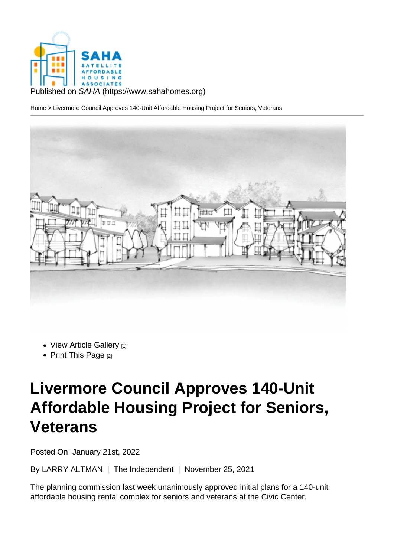Published on SAHA (https://www.sahahomes.org)

Home > Livermore Council Approves 140-Unit Affordable Housing Project for Seniors, Veterans

- View Article Gallery [1]
- Print This Page  $[2]$

## Li[vermore](https://www.sahahomes.org/printpdf/1228) [Co](https://www.sahahomes.org/?inline=true&scrollbars=no#node-images-lightbox)uncil Approves 140-Unit Affordable Housing Project for Seniors, Veterans

Posted On: January 21st, 2022

By LARRY ALTMAN | The Independent | November 25, 2021

The planning commission last week unanimously approved initial plans for a 140-unit affordable housing rental complex for seniors and veterans at the Civic Center.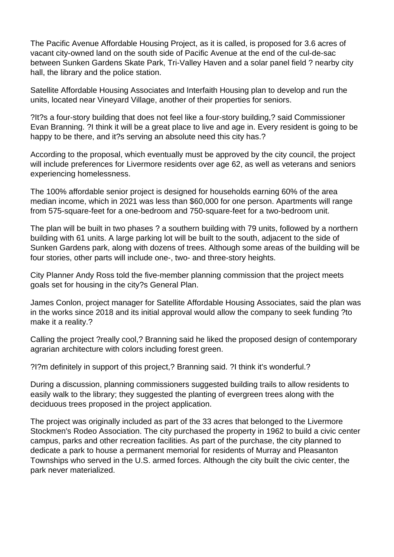The Pacific Avenue Affordable Housing Project, as it is called, is proposed for 3.6 acres of vacant city-owned land on the south side of Pacific Avenue at the end of the cul-de-sac between Sunken Gardens Skate Park, Tri-Valley Haven and a solar panel field ? nearby city hall, the library and the police station.

Satellite Affordable Housing Associates and Interfaith Housing plan to develop and run the units, located near Vineyard Village, another of their properties for seniors.

?It?s a four-story building that does not feel like a four-story building,? said Commissioner Evan Branning. ?I think it will be a great place to live and age in. Every resident is going to be happy to be there, and it?s serving an absolute need this city has.?

According to the proposal, which eventually must be approved by the city council, the project will include preferences for Livermore residents over age 62, as well as veterans and seniors experiencing homelessness.

The 100% affordable senior project is designed for households earning 60% of the area median income, which in 2021 was less than \$60,000 for one person. Apartments will range from 575-square-feet for a one-bedroom and 750-square-feet for a two-bedroom unit.

The plan will be built in two phases ? a southern building with 79 units, followed by a northern building with 61 units. A large parking lot will be built to the south, adjacent to the side of Sunken Gardens park, along with dozens of trees. Although some areas of the building will be four stories, other parts will include one-, two- and three-story heights.

City Planner Andy Ross told the five-member planning commission that the project meets goals set for housing in the city?s General Plan.

James Conlon, project manager for Satellite Affordable Housing Associates, said the plan was in the works since 2018 and its initial approval would allow the company to seek funding ?to make it a reality.?

Calling the project ?really cool,? Branning said he liked the proposed design of contemporary agrarian architecture with colors including forest green.

?I?m definitely in support of this project,? Branning said. ?I think it's wonderful.?

During a discussion, planning commissioners suggested building trails to allow residents to easily walk to the library; they suggested the planting of evergreen trees along with the deciduous trees proposed in the project application.

The project was originally included as part of the 33 acres that belonged to the Livermore Stockmen's Rodeo Association. The city purchased the property in 1962 to build a civic center campus, parks and other recreation facilities. As part of the purchase, the city planned to dedicate a park to house a permanent memorial for residents of Murray and Pleasanton Townships who served in the U.S. armed forces. Although the city built the civic center, the park never materialized.